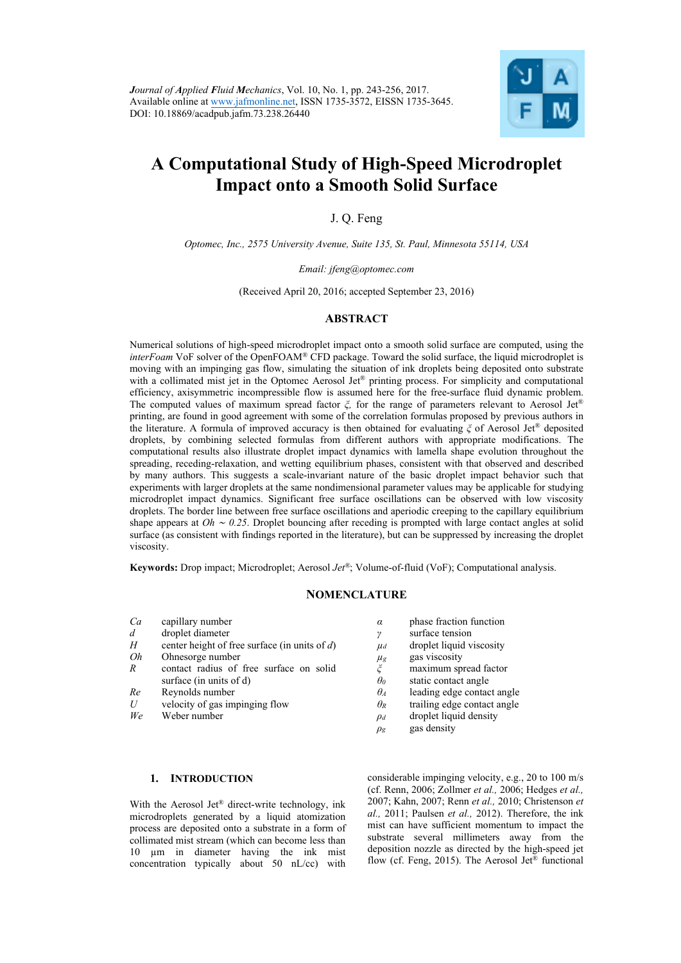

# **A Computational Study of High-Speed Microdroplet Impact onto a Smooth Solid Surface**

J. Q. Feng

*Optomec, Inc., 2575 University Avenue, Suite 135, St. Paul, Minnesota 55114, USA* 

*Email: jfeng@optomec.com* 

(Received April 20, 2016; accepted September 23, 2016)

# **ABSTRACT**

Numerical solutions of high-speed microdroplet impact onto a smooth solid surface are computed, using the *interFoam* VoF solver of the OpenFOAM® CFD package. Toward the solid surface, the liquid microdroplet is moving with an impinging gas flow, simulating the situation of ink droplets being deposited onto substrate with a collimated mist jet in the Optomec Aerosol Jet<sup>®</sup> printing process. For simplicity and computational efficiency, axisymmetric incompressible flow is assumed here for the free-surface fluid dynamic problem. The computed values of maximum spread factor *ξ,* for the range of parameters relevant to Aerosol Jet® printing, are found in good agreement with some of the correlation formulas proposed by previous authors in the literature. A formula of improved accuracy is then obtained for evaluating *ξ* of Aerosol Jet® deposited droplets, by combining selected formulas from different authors with appropriate modifications. The computational results also illustrate droplet impact dynamics with lamella shape evolution throughout the spreading, receding-relaxation, and wetting equilibrium phases, consistent with that observed and described by many authors. This suggests a scale-invariant nature of the basic droplet impact behavior such that experiments with larger droplets at the same nondimensional parameter values may be applicable for studying microdroplet impact dynamics. Significant free surface oscillations can be observed with low viscosity droplets. The border line between free surface oscillations and aperiodic creeping to the capillary equilibrium shape appears at *Oh* ∼ *0.25*. Droplet bouncing after receding is prompted with large contact angles at solid surface (as consistent with findings reported in the literature), but can be suppressed by increasing the droplet viscosity.

**Keywords:** Drop impact; Microdroplet; Aerosol *Jet®*; Volume-of-fluid (VoF); Computational analysis.

# **NOMENCLATURE**

- *Ca* capillary number *d* droplet diameter *H* center height of free surface (in units of *d*)
- *Oh* Ohnesorge number
- *R* contact radius of free surface on solid surface (in units of d)
- *Re* Reynolds number
- *U* velocity of gas impinging flow
- *We* Weber number
- *α* phase fraction function
- *γ* surface tension
- $\mu_d$  droplet liquid viscosity
- $\mu$ <sub>g</sub> gas viscosity
- *ξ* maximum spread factor
- *static* contact angle
- *θA* leading edge contact angle
- *θR* trailing edge contact angle
- *ρd* droplet liquid density
- $\rho$ *g* gas density

## **1. INTRODUCTION**

With the Aerosol Jet<sup>®</sup> direct-write technology, ink microdroplets generated by a liquid atomization process are deposited onto a substrate in a form of collimated mist stream (which can become less than 10 µm in diameter having the ink mist concentration typically about 50 nL/cc) with considerable impinging velocity, e.g., 20 to 100 m/s (cf. Renn, 2006; Zollmer *et al.,* 2006; Hedges *et al.,*  2007; Kahn, 2007; Renn *et al.,* 2010; Christenson *et al.,* 2011; Paulsen *et al.,* 2012). Therefore, the ink mist can have sufficient momentum to impact the substrate several millimeters away from the deposition nozzle as directed by the high-speed jet flow (cf. Feng, 2015). The Aerosol Jet<sup>®</sup> functional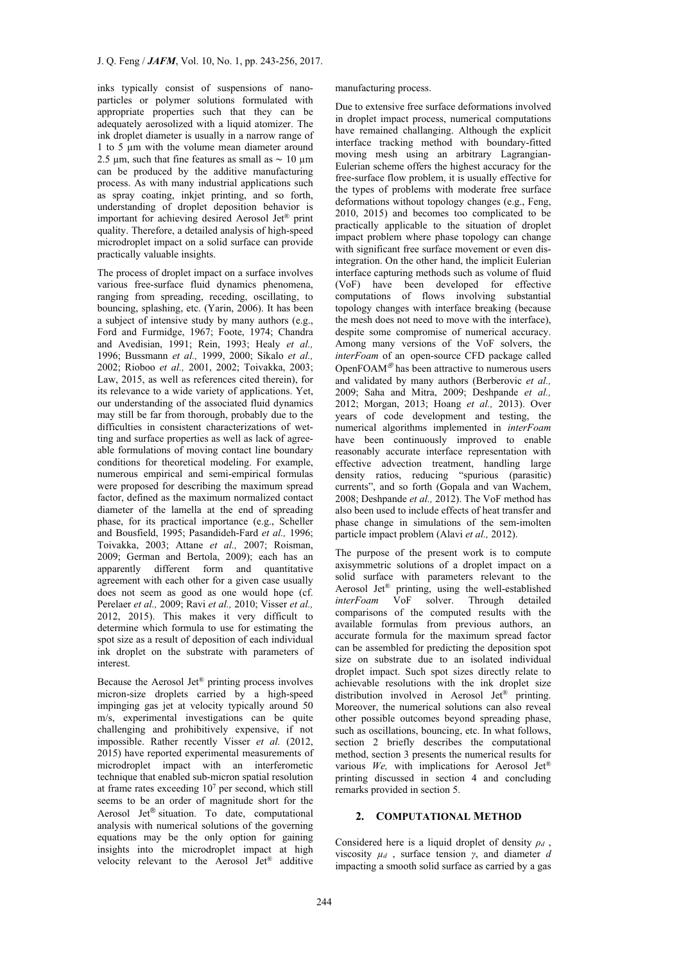inks typically consist of suspensions of nanoparticles or polymer solutions formulated with appropriate properties such that they can be adequately aerosolized with a liquid atomizer. The ink droplet diameter is usually in a narrow range of 1 to 5 µm with the volume mean diameter around 2.5 µm, such that fine features as small as  $\sim 10 \text{ µm}$ can be produced by the additive manufacturing process. As with many industrial applications such as spray coating, inkjet printing, and so forth, understanding of droplet deposition behavior is important for achieving desired Aerosol Jet® print quality. Therefore, a detailed analysis of high-speed microdroplet impact on a solid surface can provide practically valuable insights.

The process of droplet impact on a surface involves various free-surface fluid dynamics phenomena, ranging from spreading, receding, oscillating, to bouncing, splashing, etc. (Yarin, 2006). It has been a subject of intensive study by many authors (e.g., Ford and Furmidge, 1967; Foote, 1974; Chandra and Avedisian, 1991; Rein, 1993; Healy *et al.,* 1996; Bussmann *et al.,* 1999, 2000; Sikalo *et al.,* 2002; Rioboo *et al.,* 2001, 2002; Toivakka, 2003; Law, 2015, as well as references cited therein), for its relevance to a wide variety of applications. Yet, our understanding of the associated fluid dynamics may still be far from thorough, probably due to the difficulties in consistent characterizations of wetting and surface properties as well as lack of agreeable formulations of moving contact line boundary conditions for theoretical modeling. For example, numerous empirical and semi-empirical formulas were proposed for describing the maximum spread factor, defined as the maximum normalized contact diameter of the lamella at the end of spreading phase, for its practical importance (e.g., Scheller and Bousfield, 1995; Pasandideh-Fard *et al.,* 1996; Toivakka, 2003; Attane *et al.,* 2007; Roisman, 2009; German and Bertola, 2009); each has an apparently different form and quantitative agreement with each other for a given case usually does not seem as good as one would hope (cf. Perelaer *et al.,* 2009; Ravi *et al.,* 2010; Visser *et al.,* 2012, 2015). This makes it very difficult to determine which formula to use for estimating the spot size as a result of deposition of each individual ink droplet on the substrate with parameters of interest.

Because the Aerosol Jet® printing process involves micron-size droplets carried by a high-speed impinging gas jet at velocity typically around 50 m/s, experimental investigations can be quite challenging and prohibitively expensive, if not impossible. Rather recently Visser *et al.* (2012, 2015) have reported experimental measurements of microdroplet impact with an interferometic technique that enabled sub-micron spatial resolution at frame rates exceeding 107 per second, which still seems to be an order of magnitude short for the Aerosol Jet® situation. To date, computational analysis with numerical solutions of the governing equations may be the only option for gaining insights into the microdroplet impact at high velocity relevant to the Aerosol Jet® additive

manufacturing process.

Due to extensive free surface deformations involved in droplet impact process, numerical computations have remained challanging. Although the explicit interface tracking method with boundary-fitted moving mesh using an arbitrary Lagrangian-Eulerian scheme offers the highest accuracy for the free-surface flow problem, it is usually effective for the types of problems with moderate free surface deformations without topology changes (e.g., Feng, 2010, 2015) and becomes too complicated to be practically applicable to the situation of droplet impact problem where phase topology can change with significant free surface movement or even disintegration. On the other hand, the implicit Eulerian interface capturing methods such as volume of fluid (VoF) have been developed for effective computations of flows involving substantial topology changes with interface breaking (because the mesh does not need to move with the interface), despite some compromise of numerical accuracy. Among many versions of the VoF solvers, the *interFoam* of an open-source CFD package called OpenFOAM® has been attractive to numerous users and validated by many authors (Berberovic *et al.,* 2009; Saha and Mitra, 2009; Deshpande *et al.,* 2012; Morgan, 2013; Hoang *et al.,* 2013). Over years of code development and testing, the numerical algorithms implemented in *interFoam* have been continuously improved to enable reasonably accurate interface representation with effective advection treatment, handling large density ratios, reducing "spurious (parasitic) currents", and so forth (Gopala and van Wachem, 2008; Deshpande *et al.,* 2012). The VoF method has also been used to include effects of heat transfer and phase change in simulations of the sem-imolten particle impact problem (Alavi *et al.,* 2012).

The purpose of the present work is to compute axisymmetric solutions of a droplet impact on a solid surface with parameters relevant to the Aerosol Jet® printing, using the well-established *interFoam* VoF solver. Through detailed comparisons of the computed results with the available formulas from previous authors, an accurate formula for the maximum spread factor can be assembled for predicting the deposition spot size on substrate due to an isolated individual droplet impact. Such spot sizes directly relate to achievable resolutions with the ink droplet size distribution involved in Aerosol Jet<sup>®</sup> printing. Moreover, the numerical solutions can also reveal other possible outcomes beyond spreading phase, such as oscillations, bouncing, etc. In what follows, section 2 briefly describes the computational method, section 3 presents the numerical results for various *We,* with implications for Aerosol Jet® printing discussed in section 4 and concluding remarks provided in section 5.

# **2. COMPUTATIONAL METHOD**

Considered here is a liquid droplet of density *ρd* , viscosity  $\mu_d$ , surface tension  $\gamma$ , and diameter *d* impacting a smooth solid surface as carried by a gas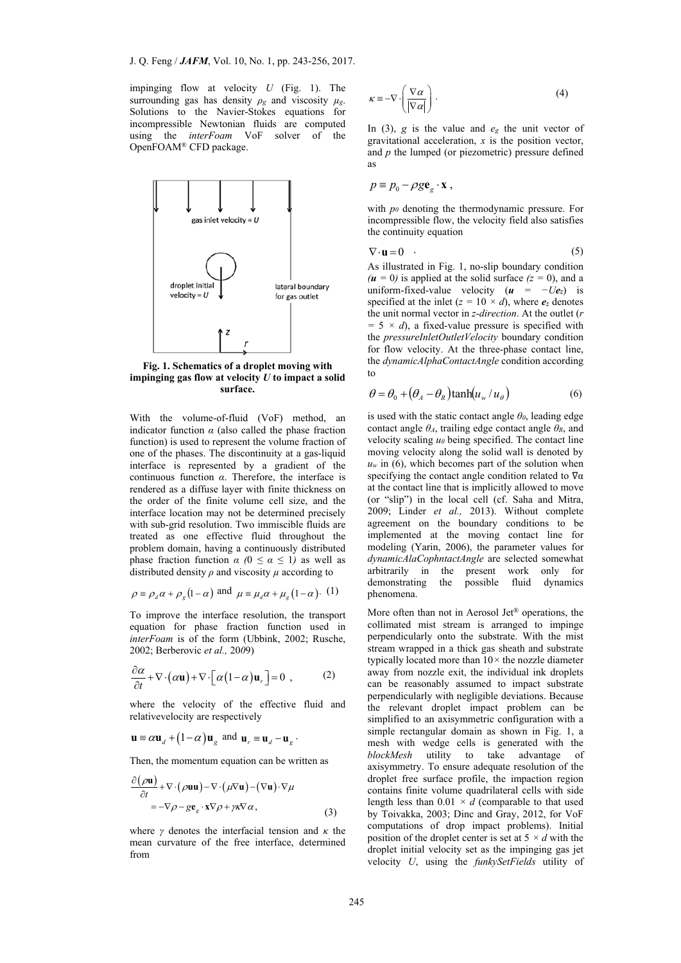impinging flow at velocity *U* (Fig. 1). The surrounding gas has density  $\rho_g$  and viscosity  $\mu_g$ . Solutions to the Navier-Stokes equations for incompressible Newtonian fluids are computed using the *interFoam* VoF solver of the OpenFOAM® CFD package.



**Fig. 1. Schematics of a droplet moving with impinging gas flow at velocity** *U* **to impact a solid surface.** 

With the volume-of-fluid (VoF) method, an indicator function  $\alpha$  (also called the phase fraction function) is used to represent the volume fraction of one of the phases. The discontinuity at a gas-liquid interface is represented by a gradient of the continuous function *α*. Therefore, the interface is rendered as a diffuse layer with finite thickness on the order of the finite volume cell size, and the interface location may not be determined precisely with sub-grid resolution. Two immiscible fluids are treated as one effective fluid throughout the problem domain, having a continuously distributed phase fraction function  $\alpha$  ( $0 \le \alpha \le 1$ ) as well as distributed density  $\rho$  and viscosity  $\mu$  according to

$$
\rho \equiv \rho_d \alpha + \rho_g (1 - \alpha)
$$
 and  $\mu \equiv \mu_d \alpha + \mu_g (1 - \alpha)$ . (1)

To improve the interface resolution, the transport equation for phase fraction function used in *interFoam* is of the form (Ubbink, 2002; Rusche, 2002; Berberovic *et al.,* 20*0*9)

$$
\frac{\partial \alpha}{\partial t} + \nabla \cdot (\alpha \mathbf{u}) + \nabla \cdot [\alpha (1 - \alpha) \mathbf{u}_r] = 0 , \qquad (2)
$$

where the velocity of the effective fluid and relativevelocity are respectively

$$
\mathbf{u} \equiv \alpha \mathbf{u}_{d} + (1 - \alpha) \mathbf{u}_{g}
$$
 and  $\mathbf{u}_{r} \equiv \mathbf{u}_{d} - \mathbf{u}_{g}$ .

Then, the momentum equation can be written as

$$
\frac{\partial(\rho \mathbf{u})}{\partial t} + \nabla \cdot (\rho \mathbf{u} \mathbf{u}) - \nabla \cdot (\mu \nabla \mathbf{u}) - (\nabla \mathbf{u}) \cdot \nabla \mu \n= -\nabla \rho - g \mathbf{e}_g \cdot \mathbf{x} \nabla \rho + \gamma \kappa \nabla \alpha,
$$
\n(3)

where  $\gamma$  denotes the interfacial tension and  $\kappa$  the mean curvature of the free interface, determined from

$$
\kappa \equiv -\nabla \cdot \left(\frac{\nabla \alpha}{|\nabla \alpha|}\right). \tag{4}
$$

In (3),  $g$  is the value and  $e_g$  the unit vector of gravitational acceleration, *x* is the position vector, and *p* the lumped (or piezometric) pressure defined as

$$
p \equiv p_0 - \rho g \mathbf{e}_g \cdot \mathbf{x} ,
$$

with  $p_0$  denoting the thermodynamic pressure. For incompressible flow, the velocity field also satisfies the continuity equation

$$
\nabla \cdot \mathbf{u} = 0 \tag{5}
$$

As illustrated in Fig. 1, no-slip boundary condition  $(\mathbf{u} = 0)$  is applied at the solid surface  $(z = 0)$ , and a uniform-fixed-value velocity  $(u = -Ue_z)$  is specified at the inlet  $(z = 10 \times d)$ , where  $e_z$  denotes the unit normal vector in *z-direction*. At the outlet (*r*   $= 5 \times d$ , a fixed-value pressure is specified with the *pressureInletOutletVelocity* boundary condition for flow velocity. At the three-phase contact line, the *dynamicAlphaContactAngle* condition according to

$$
\theta = \theta_0 + (\theta_A - \theta_R)\tanh(u_w/u_\theta) \tag{6}
$$

is used with the static contact angle *θ0*, leading edge contact angle  $\theta_A$ , trailing edge contact angle  $\theta_R$ , and velocity scaling *uθ* being specified. The contact line moving velocity along the solid wall is denoted by  $u_w$  in (6), which becomes part of the solution when specifying the contact angle condition related to  $\nabla \alpha$ at the contact line that is implicitly allowed to move (or "slip") in the local cell (cf. Saha and Mitra, 2009; Linder *et al.,* 2013). Without complete agreement on the boundary conditions to be implemented at the moving contact line for modeling (Yarin, 2006), the parameter values for *dynamicAlaCophntactAngle* are selected somewhat arbitrarily in the present work only for demonstrating the possible fluid dynamics phenomena.

More often than not in Aerosol Jet® operations, the collimated mist stream is arranged to impinge perpendicularly onto the substrate. With the mist stream wrapped in a thick gas sheath and substrate typically located more than 10*×* the nozzle diameter away from nozzle exit, the individual ink droplets can be reasonably assumed to impact substrate perpendicularly with negligible deviations. Because the relevant droplet impact problem can be simplified to an axisymmetric configuration with a simple rectangular domain as shown in Fig. 1, a mesh with wedge cells is generated with the *blockMesh* utility to take advantage of axisymmetry. To ensure adequate resolution of the droplet free surface profile, the impaction region contains finite volume quadrilateral cells with side length less than  $0.01 \times d$  (comparable to that used by Toivakka, 2003; Dinc and Gray, 2012, for VoF computations of drop impact problems). Initial position of the droplet center is set at 5 *× d* with the droplet initial velocity set as the impinging gas jet velocity *U*, using the *funkySetFields* utility of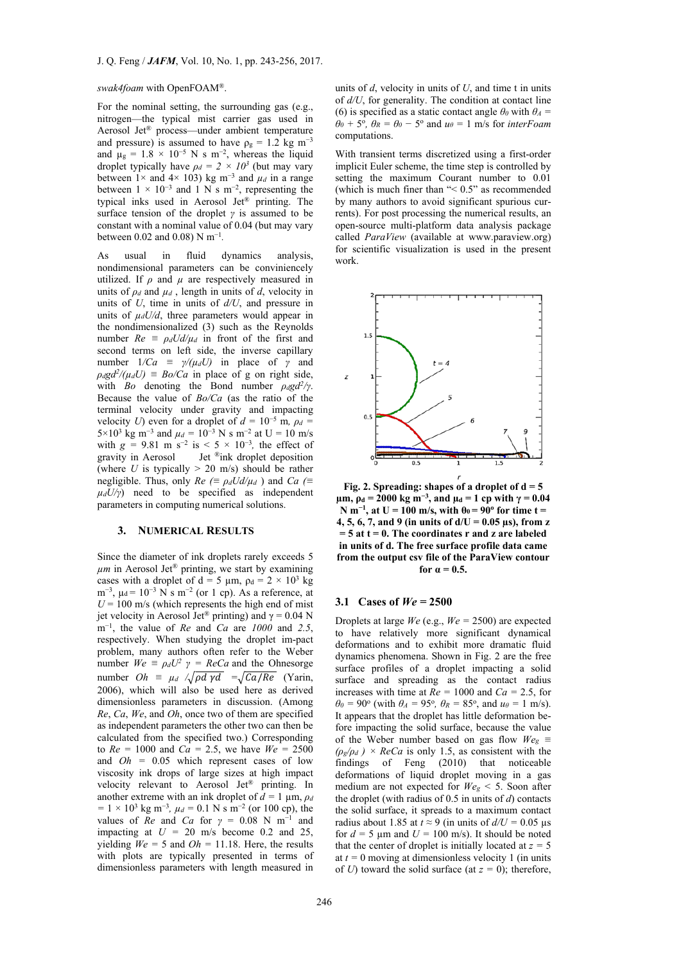#### *swak4foam* with OpenFOAM®.

For the nominal setting, the surrounding gas (e.g., nitrogen—the typical mist carrier gas used in Aerosol Jet® process—under ambient temperature and pressure) is assumed to have  $\rho_g = 1.2$  kg m<sup>-3</sup> and  $\mu$ <sub>g</sub> = 1.8 × 10<sup>-5</sup> N s m<sup>-2</sup>, whereas the liquid droplet typically have  $\rho_d = 2 \times 10^3$  (but may vary between  $1 \times$  and  $4 \times 103$ ) kg m<sup>-3</sup> and  $\mu_d$  in a range between  $1 \times 10^{-3}$  and  $1 \text{ N s m}^{-2}$ , representing the typical inks used in Aerosol Jet® printing. The surface tension of the droplet *γ* is assumed to be constant with a nominal value of 0.04 (but may vary between 0.02 and 0.08) N m<sup>−</sup><sup>1</sup>*.* 

As usual in fluid dynamics analysis, nondimensional parameters can be conviniencely utilized. If *ρ* and *µ* are respectively measured in units of  $\rho_d$  and  $\mu_d$ , length in units of *d*, velocity in units of *U*, time in units of *d/U*, and pressure in units of  $\mu_d U/d$ , three parameters would appear in the nondimensionalized (3) such as the Reynolds number  $Re \equiv \rho_d U d / \mu_d$  in front of the first and second terms on left side, the inverse capillary number  $1/Ca \equiv \gamma/(\mu_d U)$  in place of *γ* and  $\rho_d g d^2 / (\mu_d U) = B \rho / C a$  in place of g on right side, with *Bo* denoting the Bond number *ρdgd2/γ*. Because the value of *Bo/Ca* (as the ratio of the terminal velocity under gravity and impacting velocity *U*) even for a droplet of  $d = 10^{-5}$  m,  $\rho_d =$ 5×10<sup>3</sup> kg m<sup>-3</sup> and  $\mu_d = 10^{-3}$  N s m<sup>-2</sup> at U = 10 m/s with  $g = 9.81 \text{ m s}^{-2}$  is < 5 × 10<sup>-3</sup>, the effect of gravity in Aerosol Jet ®ink droplet deposition (where  $U$  is typically  $> 20$  m/s) should be rather negligible. Thus, only  $Re \ (\equiv \rho_d U d / \mu_d)$  and  $Ca \ (\equiv$  $\mu_d U/\gamma$ ) need to be specified as independent parameters in computing numerical solutions.

## **3. NUMERICAL RESULTS**

Since the diameter of ink droplets rarely exceeds 5 *µm* in Aerosol Jet® printing, we start by examining cases with a droplet of d = 5  $\mu$ m,  $\rho$ d = 2 × 10<sup>3</sup> kg m<sup>-3</sup>,  $\mu$ d = 10<sup>-3</sup> N s m<sup>-2</sup> (or 1 cp). As a reference, at  $U = 100$  m/s (which represents the high end of mist jet velocity in Aerosol Jet® printing) and γ = 0.04 N m<sup>−</sup>1, the value of *Re* and *Ca* are *1000* and *2.5*, respectively. When studying the droplet im-pact problem, many authors often refer to the Weber number  $W_e \equiv \rho_d U^2 \gamma = ReCa$  and the Ohnesorge number  $Oh \equiv \mu_d / \sqrt{\rho d \gamma d} = \sqrt{Ca/Re}$  (Yarin, 2006), which will also be used here as derived dimensionless parameters in discussion. (Among *Re*, *Ca*, *We*, and *Oh*, once two of them are specified as independent parameters the other two can then be calculated from the specified two.) Corresponding to  $Re = 1000$  and  $Ca = 2.5$ , we have  $We = 2500$ and *Oh =* 0.05 which represent cases of low viscosity ink drops of large sizes at high impact velocity relevant to Aerosol Jet® printing. In another extreme with an ink droplet of  $d = 1$  um,  $\rho_d$  $= 1 \times 10^3$  kg m<sup>-3</sup>,  $\mu_d = 0.1$  N s m<sup>-2</sup> (or 100 cp), the values of *Re* and *Ca* for  $\gamma = 0.08$  N m<sup>-1</sup> and impacting at  $U = 20$  m/s become 0.2 and 25, yielding  $W_e = 5$  and  $Oh = 11.18$ . Here, the results with plots are typically presented in terms of dimensionless parameters with length measured in

units of *d*, velocity in units of *U*, and time t in units of *d/U*, for generality. The condition at contact line (6) is specified as a static contact angle  $\theta$ <sup>0</sup> with  $\theta$ <sup>*A*</sup> =  $\theta_0 + 5^\circ$ ,  $\theta_R = \theta_0 - 5^\circ$  and  $u_\theta = 1$  m/s for *interFoam* computations.

With transient terms discretized using a first-order implicit Euler scheme, the time step is controlled by setting the maximum Courant number to 0.01 (which is much finer than "< 0.5" as recommended by many authors to avoid significant spurious currents). For post processing the numerical results, an open-source multi-platform data analysis package called *ParaView* (available at www.paraview.org) for scientific visualization is used in the present work.



**Fig. 2. Spreading: shapes of a droplet of d = 5 µm,**  $ρ_d = 2000$  kg m<sup>-3</sup>, and  $μ_d = 1$  cp with  $γ = 0.04$  $N$ **m<sup>−1</sup>, at U = 100 m/s, with**  $θ_0 = 90°$  **for time t = 4, 5, 6, 7, and 9 (in units of d/U = 0.05 µs), from z = 5 at t = 0. The coordinates r and z are labeled in units of d. The free surface profile data came from the output csv file of the ParaView contour for**  $a = 0.5$ .

#### **3.1 Cases of** *We =* **2500**

Droplets at large *We* (e.g., *We =* 2500) are expected to have relatively more significant dynamical deformations and to exhibit more dramatic fluid dynamics phenomena. Shown in Fig. 2 are the free surface profiles of a droplet impacting a solid surface and spreading as the contact radius increases with time at  $Re = 1000$  and  $Ca = 2.5$ , for  $\theta_0 = 90^\circ$  (with  $\theta_A = 95^\circ$ ,  $\theta_R = 85^\circ$ , and  $u_\theta = 1$  m/s). It appears that the droplet has little deformation before impacting the solid surface, because the value of the Weber number based on gas flow  $W_{eg}$   $\equiv$  $(\rho_g/\rho_d)$  × *ReCa* is only 1.5, as consistent with the findings of Feng (2010) that noticeable deformations of liquid droplet moving in a gas medium are not expected for  $W_{e} \leq 5$ . Soon after the droplet (with radius of 0.5 in units of *d*) contacts the solid surface, it spreads to a maximum contact radius about 1.85 at  $t \approx 9$  (in units of  $d/U = 0.05$  µs for  $d = 5 \text{ µm}$  and  $U = 100 \text{ m/s}$ . It should be noted that the center of droplet is initially located at  $z = 5$ at  $t = 0$  moving at dimensionless velocity 1 (in units) of *U*) toward the solid surface (at  $z = 0$ ); therefore,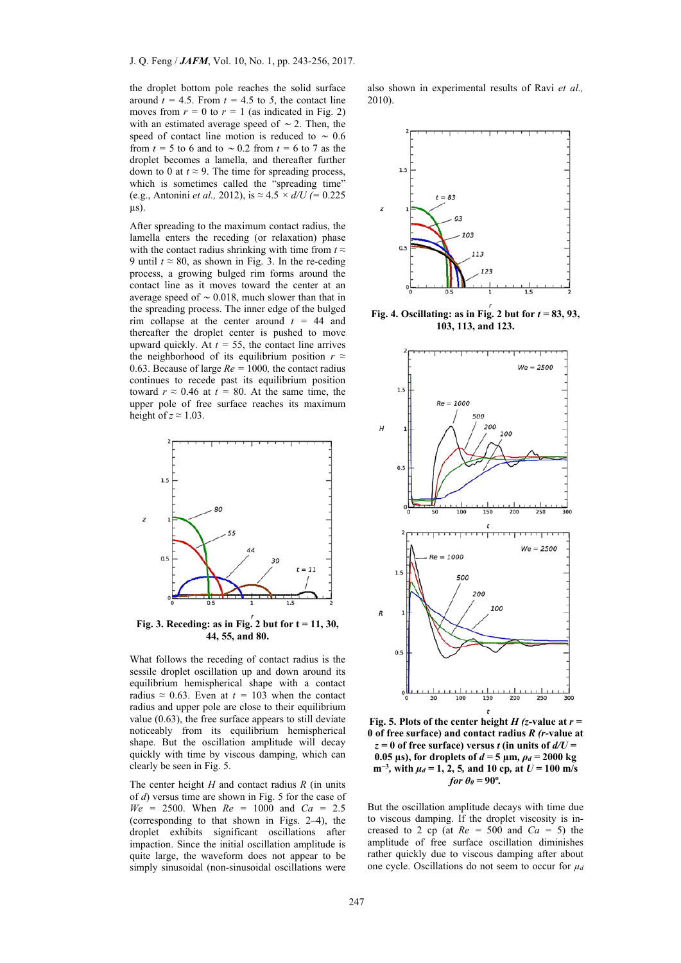the droplet bottom pole reaches the solid surface around  $t = 4.5$ . From  $t = 4.5$  to 5, the contact line moves from  $r = 0$  to  $r = 1$  (as indicated in Fig. 2) with an estimated average speed of  $\sim$  2. Then, the speed of contact line motion is reduced to  $\sim 0.6$ from  $t = 5$  to 6 and to  $\sim 0.2$  from  $t = 6$  to 7 as the droplet becomes a lamella, and thereafter further down to 0 at  $t \approx 9$ . The time for spreading process, which is sometimes called the "spreading time" (e.g., Antonini *et al.,* 2012), is *≈* 4.5 *× d/U (=* 0.225 µs).

After spreading to the maximum contact radius, the lamella enters the receding (or relaxation) phase with the contact radius shrinking with time from  $t \approx$ 9 until  $t \approx 80$ , as shown in Fig. 3. In the re-ceding process, a growing bulged rim forms around the contact line as it moves toward the center at an average speed of <sup>∼</sup> 0.018, much slower than that in the spreading process. The inner edge of the bulged rim collapse at the center around  $t = 44$  and thereafter the droplet center is pushed to move upward quickly. At  $t = 55$ , the contact line arrives the neighborhood of its equilibrium position  $r \approx$ 0.63. Because of large *Re =* 1000*,* the contact radius continues to recede past its equilibrium position toward  $r \approx 0.46$  at  $t = 80$ . At the same time, the upper pole of free surface reaches its maximum height of  $z \approx 1.03$ .



**Fig. 3. Receding: as in Fig. 2 but for t = 11, 30, 44, 55, and 80.** 

What follows the receding of contact radius is the sessile droplet oscillation up and down around its equilibrium hemispherical shape with a contact radius  $\approx 0.63$ . Even at  $t = 103$  when the contact radius and upper pole are close to their equilibrium value (0.63), the free surface appears to still deviate noticeably from its equilibrium hemispherical shape. But the oscillation amplitude will decay quickly with time by viscous damping, which can clearly be seen in Fig. 5.

The center height *H* and contact radius *R* (in units of *d*) versus time are shown in Fig. 5 for the case of *We =* 2500. When *Re =* 1000 and *Ca =* 2.5 (corresponding to that shown in Figs. 2–4), the droplet exhibits significant oscillations after impaction. Since the initial oscillation amplitude is quite large, the waveform does not appear to be simply sinusoidal (non-sinusoidal oscillations were

also shown in experimental results of Ravi *et al.,* 2010).



Fig. 4. Oscillating: as in Fig. 2 but for  $t = 83, 93$ , **103, 113, and 123.**



**Fig. 5. Plots of the center height**  $H$  **(z-value at**  $r =$ **0 of free surface) and contact radius** *R (r***-value at**   $z = 0$  of free surface) versus *t* (in units of  $d/U =$ **0.05 µs), for droplets of** *d =* **5 µm***, ρd =* **2000 kg m<sup>−</sup><sup>3</sup>***,* **with** *µd =* **1, 2, 5***,* **and 10 cp***,* **at** *U =* **100 m/s** *for*  $\theta$ <sup>*o*</sup> = 90<sup>o</sup>.

But the oscillation amplitude decays with time due to viscous damping. If the droplet viscosity is increased to 2 cp (at  $Re = 500$  and  $Ca = 5$ ) the amplitude of free surface oscillation diminishes rather quickly due to viscous damping after about one cycle. Oscillations do not seem to occur for *µd*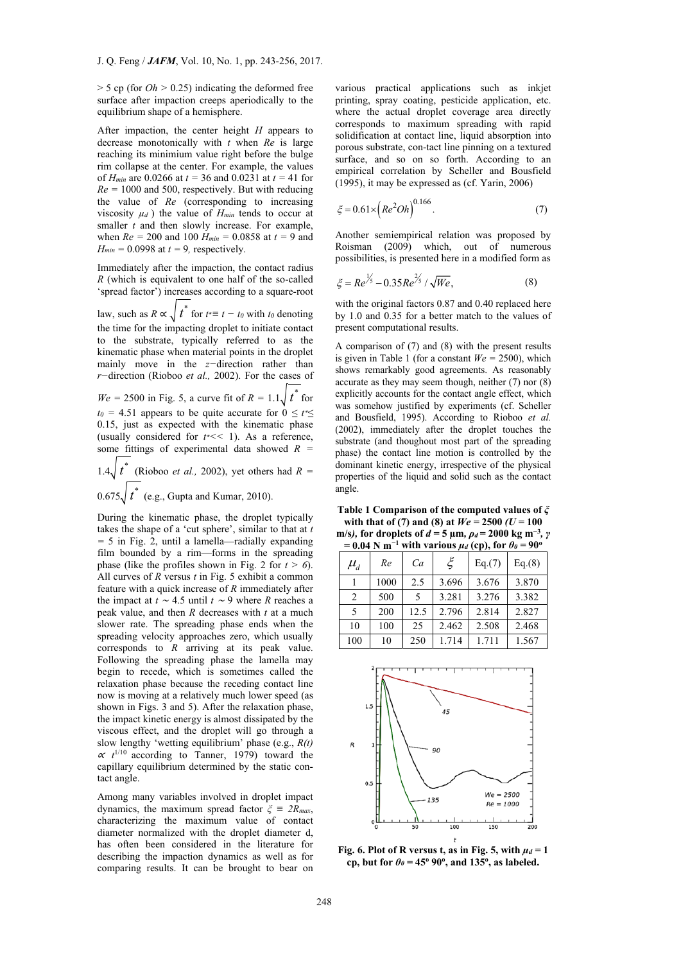> 5 cp (for *Oh >* 0.25) indicating the deformed free surface after impaction creeps aperiodically to the equilibrium shape of a hemisphere.

After impaction, the center height *H* appears to decrease monotonically with *t* when *Re* is large reaching its minimium value right before the bulge rim collapse at the center. For example, the values of *Hmin* are 0.0266 at *t =* 36 and 0.0231 at *t =* 41 for  $Re = 1000$  and 500, respectively. But with reducing the value of *Re* (corresponding to increasing viscosity  $\mu_d$ ) the value of  $H_{min}$  tends to occur at smaller *t* and then slowly increase. For example, when *Re =* 200 and 100 *Hmin =* 0.0858 at *t =* 9 and  $H_{min} = 0.0998$  at  $t = 9$ , respectively.

Immediately after the impaction, the contact radius *R* (which is equivalent to one half of the so-called 'spread factor') increases according to a square-root

law, such as  $R \propto \sqrt{t^*}$  for  $t^* \equiv t - t_0$  with  $t_0$  denoting the time for the impacting droplet to initiate contact to the substrate, typically referred to as the kinematic phase when material points in the droplet mainly move in the *z−*direction rather than *r−*direction (Rioboo *et al.,* 2002). For the cases of

 $We = 2500$  in Fig. 5, a curve fit of  $R = 1.1 \sqrt{t^*}$  for  $t_0 = 4.51$  appears to be quite accurate for  $0 \le t^* \le$ 0.15, just as expected with the kinematic phase (usually considered for *t*∗*<<* 1). As a reference, some fittings of experimental data showed *R =* 

1.4 $t^*$ (Rioboo *et al.*, 2002), yet others had  $R =$ 

0.675 $t^*$ *t* (e.g., Gupta and Kumar, 2010).

During the kinematic phase, the droplet typically takes the shape of a 'cut sphere', similar to that at *t =* 5 in Fig. 2, until a lamella—radially expanding film bounded by a rim—forms in the spreading phase (like the profiles shown in Fig. 2 for  $t > 6$ ). All curves of *R* versus *t* in Fig. 5 exhibit a common feature with a quick increase of *R* immediately after the impact at *t* <sup>∼</sup> 4.5 until *t* <sup>∼</sup> 9 where *R* reaches a peak value, and then *R* decreases with *t* at a much slower rate. The spreading phase ends when the spreading velocity approaches zero, which usually corresponds to *R* arriving at its peak value. Following the spreading phase the lamella may begin to recede, which is sometimes called the relaxation phase because the receding contact line now is moving at a relatively much lower speed (as shown in Figs. 3 and 5). After the relaxation phase, the impact kinetic energy is almost dissipated by the viscous effect, and the droplet will go through a slow lengthy 'wetting equilibrium' phase (e.g., *R(t)*   $\alpha t^{1/10}$  according to Tanner, 1979) toward the capillary equilibrium determined by the static contact angle.

Among many variables involved in droplet impact dynamics, the maximum spread factor  $\zeta = 2R_{max}$ , characterizing the maximum value of contact diameter normalized with the droplet diameter d, has often been considered in the literature for describing the impaction dynamics as well as for comparing results. It can be brought to bear on

various practical applications such as inkjet printing, spray coating, pesticide application, etc. where the actual droplet coverage area directly corresponds to maximum spreading with rapid solidification at contact line, liquid absorption into porous substrate, con-tact line pinning on a textured surface, and so on so forth. According to an empirical correlation by Scheller and Bousfield (1995), it may be expressed as (cf. Yarin, 2006)

$$
\xi = 0.61 \times \left( Re^2 O h \right)^{0.166}.
$$
 (7)

Another semiempirical relation was proposed by Roisman (2009) which, out of numerous possibilities, is presented here in a modified form as

$$
\xi = Re^{\frac{1}{5}} - 0.35Re^{\frac{2}{5}} / \sqrt{We},\tag{8}
$$

with the original factors 0.87 and 0.40 replaced here by 1.0 and 0.35 for a better match to the values of present computational results.

A comparison of (7) and (8) with the present results is given in Table 1 (for a constant  $W_e = 2500$ ), which shows remarkably good agreements. As reasonably accurate as they may seem though, neither (7) nor (8) explicitly accounts for the contact angle effect, which was somehow justified by experiments (cf. Scheller and Bousfield, 1995). According to Rioboo *et al.* (2002), immediately after the droplet touches the substrate (and thoughout most part of the spreading phase) the contact line motion is controlled by the dominant kinetic energy, irrespective of the physical properties of the liquid and solid such as the contact angle.

**Table 1 Comparison of the computed values of** *ξ* with that of (7) and (8) at  $We = 2500$  ( $U = 100$ **m/s)**, for droplets of  $d = 5$  **µm**,  $\rho_d = 2000$  kg m<sup>-3</sup>, *γ*  $= 0.04$  N m<sup> $-1$ </sup> with various  $\mu_d$  (cp), for  $\theta_\theta = 90^\circ$ 

| $\cdots$                     |      |      |       |        |        |  |  |
|------------------------------|------|------|-------|--------|--------|--|--|
| $\mu_{\scriptscriptstyle d}$ | Re   | Ca   | ζ     | Eq.(7) | Eq.(8) |  |  |
|                              | 1000 | 2.5  | 3.696 | 3.676  | 3.870  |  |  |
| 2                            | 500  | 5    | 3.281 | 3.276  | 3.382  |  |  |
| 5                            | 200  | 12.5 | 2.796 | 2.814  | 2.827  |  |  |
| 10                           | 100  | 25   | 2.462 | 2.508  | 2.468  |  |  |
| 100                          | 10   | 250  | 1.714 | 1.711  | 1.567  |  |  |



Fig. 6. Plot of R versus t, as in Fig. 5, with  $\mu_d = 1$ **cp**, but for  $\theta_{\theta} = 45^{\circ}$  90<sup>o</sup>, and 135<sup>o</sup>, as labeled.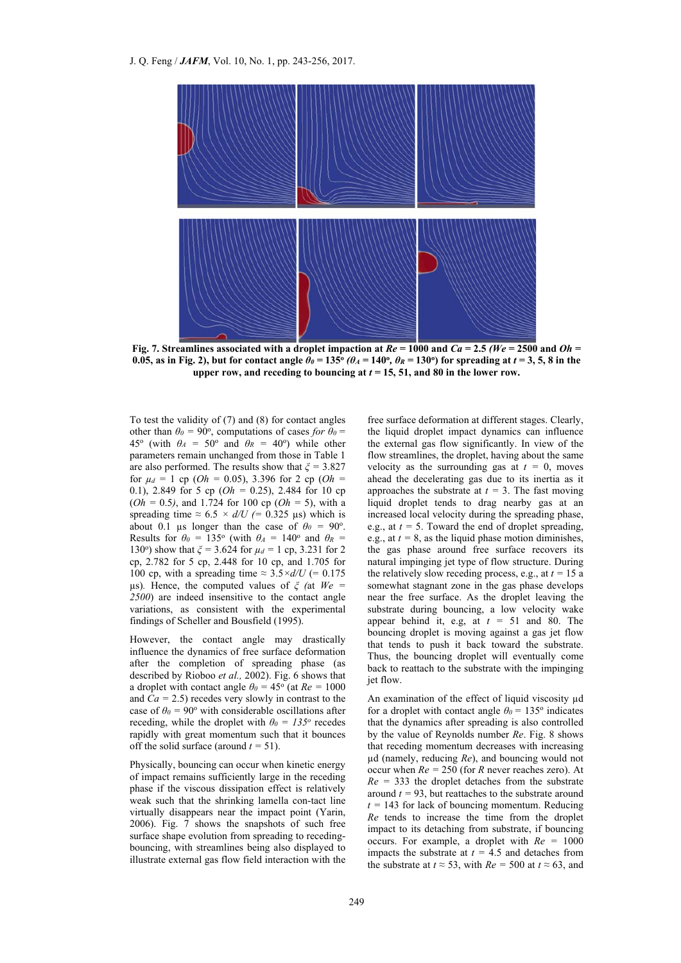

**Fig. 7. Streamlines associated with a droplet impaction at** *Re =* **1000 and** *Ca =* **2.5** *(We =* **2500 and** *Oh =*  **0.05, as in Fig. 2), but for contact angle**  $\theta_{\theta} = 135^{\circ}$  **(** $\theta_{A} = 140^{\circ}$ **,**  $\theta_{R} = 130^{\circ}$ **) for spreading at**  $t = 3, 5, 8$  **in the** upper row, and receding to bouncing at  $t = 15, 51$ , and 80 in the lower row.

To test the validity of (7) and (8) for contact angles other than  $\theta_0 = 90^\circ$ , computations of cases *for*  $\theta_0 =$ 45<sup>o</sup> (with  $\theta_A = 50^\circ$  and  $\theta_R = 40^\circ$ ) while other parameters remain unchanged from those in Table 1 are also performed. The results show that *ξ =* 3.827 for  $\mu_d = 1$  cp (*Oh* = 0.05), 3.396 for 2 cp (*Oh* = 0.1), 2.849 for 5 cp (*Oh =* 0.25), 2.484 for 10 cp (*Oh =* 0.5*)*, and 1.724 for 100 cp (*Oh =* 5), with a spreading time  $\approx 6.5 \times d/U$  (= 0.325 µs) which is about 0.1 µs longer than the case of  $\theta_0 = 90^\circ$ . Results for  $\theta_0 = 135^\circ$  (with  $\theta_A = 140^\circ$  and  $\theta_R =$ 130<sup>o</sup>) show that  $\zeta$  = 3.624 for  $\mu_d$  = 1 cp, 3.231 for 2 cp, 2.782 for 5 cp, 2.448 for 10 cp, and 1.705 for 100 cp, with a spreading time  $\approx 3.5 \times d/U$  (= 0.175) µs)*.* Hence, the computed values of *ξ (*at *We = 2500*) are indeed insensitive to the contact angle variations, as consistent with the experimental findings of Scheller and Bousfield (1995).

However, the contact angle may drastically influence the dynamics of free surface deformation after the completion of spreading phase (as described by Rioboo *et al.,* 2002). Fig. 6 shows that a droplet with contact angle  $\theta_0 = 45^\circ$  (at  $Re = 1000$ and  $Ca = 2.5$ ) recedes very slowly in contrast to the case of  $\theta_0 = 90^\circ$  with considerable oscillations after receding, while the droplet with  $\theta_0 = 135^\circ$  recedes rapidly with great momentum such that it bounces off the solid surface (around  $t = 51$ ).

Physically, bouncing can occur when kinetic energy of impact remains sufficiently large in the receding phase if the viscous dissipation effect is relatively weak such that the shrinking lamella con-tact line virtually disappears near the impact point (Yarin, 2006). Fig. 7 shows the snapshots of such free surface shape evolution from spreading to recedingbouncing, with streamlines being also displayed to illustrate external gas flow field interaction with the

free surface deformation at different stages. Clearly, the liquid droplet impact dynamics can influence the external gas flow significantly. In view of the flow streamlines, the droplet, having about the same velocity as the surrounding gas at  $t = 0$ , moves ahead the decelerating gas due to its inertia as it approaches the substrate at  $t = 3$ . The fast moving liquid droplet tends to drag nearby gas at an increased local velocity during the spreading phase, e.g., at  $t = 5$ . Toward the end of droplet spreading, e.g., at  $t = 8$ , as the liquid phase motion diminishes, the gas phase around free surface recovers its natural impinging jet type of flow structure. During the relatively slow receding process, e.g., at  $t = 15$  a somewhat stagnant zone in the gas phase develops near the free surface. As the droplet leaving the substrate during bouncing, a low velocity wake appear behind it, e.g, at  $t = 51$  and 80. The bouncing droplet is moving against a gas jet flow that tends to push it back toward the substrate. Thus, the bouncing droplet will eventually come back to reattach to the substrate with the impinging jet flow.

An examination of the effect of liquid viscosity  $\mu$ d for a droplet with contact angle  $\theta_0 = 135$ <sup>o</sup> indicates that the dynamics after spreading is also controlled by the value of Reynolds number *Re*. Fig. 8 shows that receding momentum decreases with increasing µd (namely, reducing *Re*), and bouncing would not occur when *Re =* 250 (for *R* never reaches zero). At  $Re = 333$  the droplet detaches from the substrate around  $t = 93$ , but reattaches to the substrate around  $t = 143$  for lack of bouncing momentum. Reducing *Re* tends to increase the time from the droplet impact to its detaching from substrate, if bouncing occurs. For example, a droplet with *Re =* 1000 impacts the substrate at  $t = 4.5$  and detaches from the substrate at  $t \approx 53$ , with  $Re = 500$  at  $t \approx 63$ , and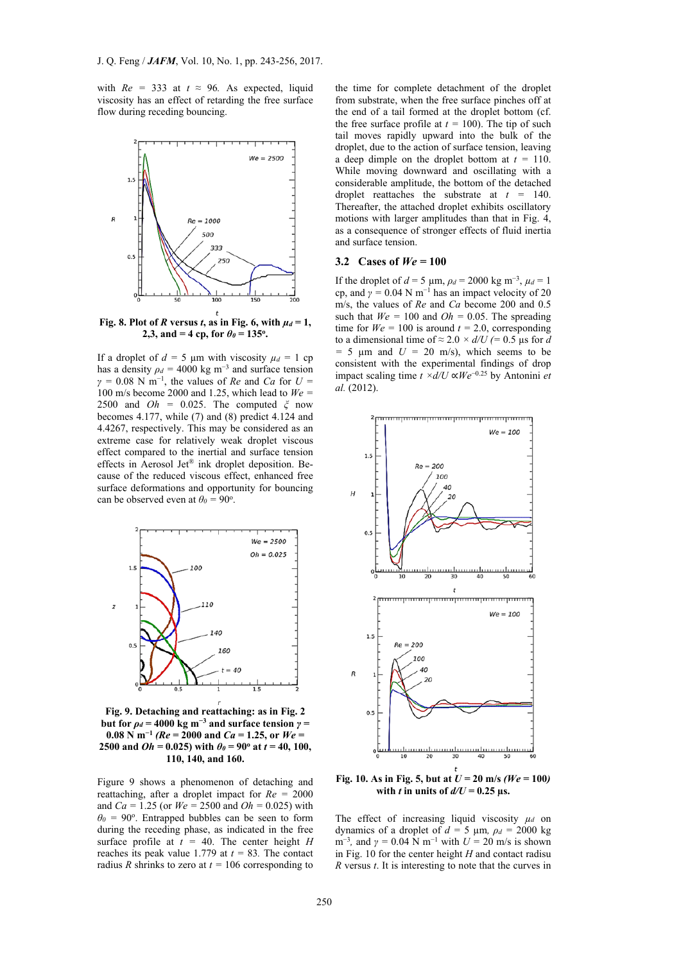with  $Re = 333$  at  $t \approx 96$ . As expected, liquid viscosity has an effect of retarding the free surface flow during receding bouncing.



Fig. 8. Plot of *R* versus *t*, as in Fig. 6, with  $\mu_d = 1$ , **2,3, and**  $= 4$  **cp, for**  $\theta_{\theta} = 135^{\circ}$ **.** 

If a droplet of  $d = 5 \mu m$  with viscosity  $\mu_d = 1$  cp has a density  $\rho_d = 4000 \text{ kg m}^{-3}$  and surface tension  $\gamma$  = 0.08 N m<sup>-1</sup>, the values of *Re* and *Ca* for *U* = 100 m/s become 2000 and 1.25, which lead to *We =*  2500 and *Oh =* 0.025. The computed *ξ* now becomes 4.177, while (7) and (8) predict 4.124 and 4.4267, respectively. This may be considered as an extreme case for relatively weak droplet viscous effect compared to the inertial and surface tension effects in Aerosol Jet® ink droplet deposition. Because of the reduced viscous effect, enhanced free surface deformations and opportunity for bouncing can be observed even at  $\theta_0 = 90^\circ$ .



**Fig. 9. Detaching and reattaching: as in Fig. 2 but for** *ρd =* **4000 kg m<sup>−</sup>3 and surface tension** *γ =*  **0.08** N m<sup>−1</sup> ( $Re$  = 2000 and  $Ca$  = 1.25, or  $We$  = **2500 and** *Oh* **= 0.025) with**  $\theta_{\theta} = 90^{\circ}$  **at**  $t = 40, 100$ **, 110, 140, and 160.**

Figure 9 shows a phenomenon of detaching and reattaching, after a droplet impact for *Re =* 2000 and *Ca =* 1.25 (or *We =* 2500 and *Oh =* 0.025) with  $\theta$ <sup>0</sup> = 90<sup>o</sup>. Entrapped bubbles can be seen to form during the receding phase, as indicated in the free surface profile at  $t = 40$ . The center height *H* reaches its peak value 1.779 at  $t = 83$ . The contact radius *R* shrinks to zero at  $t = 106$  corresponding to

the time for complete detachment of the droplet from substrate, when the free surface pinches off at the end of a tail formed at the droplet bottom (cf. the free surface profile at  $t = 100$ ). The tip of such tail moves rapidly upward into the bulk of the droplet, due to the action of surface tension, leaving a deep dimple on the droplet bottom at *t =* 110. While moving downward and oscillating with a considerable amplitude, the bottom of the detached droplet reattaches the substrate at *t =* 140. Thereafter, the attached droplet exhibits oscillatory motions with larger amplitudes than that in Fig. 4, as a consequence of stronger effects of fluid inertia and surface tension.

## **3.2 Cases of** *We =* **100**

If the droplet of *d* = 5 μm,  $ρ_d$  = 2000 kg m<sup>-3</sup>,  $μ_d$  = 1 cp, and  $\gamma = 0.04$  N m<sup>-1</sup> has an impact velocity of 20 m/s, the values of *Re* and *Ca* become 200 and 0.5 such that  $W_e = 100$  and  $Oh = 0.05$ . The spreading time for  $W_e = 100$  is around  $t = 2.0$ , corresponding to a dimensional time of  $\approx 2.0 \times d/U$  (= 0.5 µs for *d*  $= 5 \mu m$  and  $U = 20 \mu s$ , which seems to be consistent with the experimental findings of drop impact scaling time *t ×d/U* ∝*We*<sup>−</sup>0.25 by Antonini *et al.* (2012).



**Fig. 10. As in Fig. 5, but at** *U =* **20 m/s** *(We =* **100***)* with *t* in units of  $d/U = 0.25$  µs.

The effect of increasing liquid viscosity  $\mu_d$  on dynamics of a droplet of  $d = 5 \mu m$ ,  $\rho_d = 2000 \text{ kg}$ m<sup>-3</sup>, and  $\gamma = 0.04$  N m<sup>-1</sup> with  $U = 20$  m/s is shown in Fig. 10 for the center height *H* and contact radisu *R* versus *t*. It is interesting to note that the curves in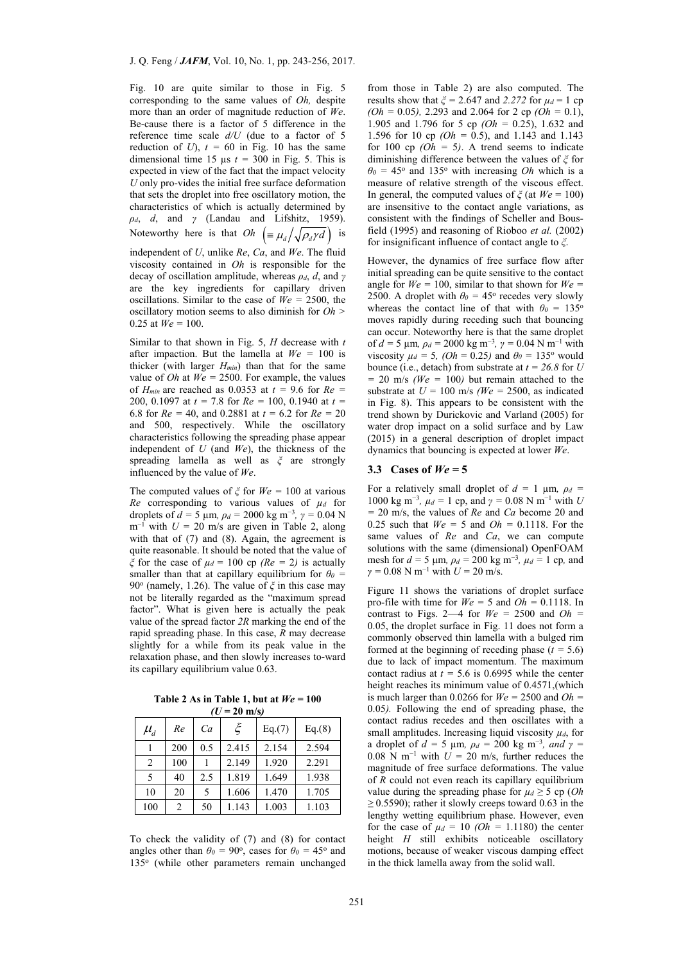Fig. 10 are quite similar to those in Fig. 5 corresponding to the same values of *Oh,* despite more than an order of magnitude reduction of *We*. Be-cause there is a factor of 5 difference in the reference time scale *d/U* (due to a factor of 5 reduction of *U*),  $t = 60$  in Fig. 10 has the same dimensional time 15  $\mu$ s  $t = 300$  in Fig. 5. This is expected in view of the fact that the impact velocity *U* only pro-vides the initial free surface deformation that sets the droplet into free oscillatory motion, the characteristics of which is actually determined by *ρd*, *d*, and *γ* (Landau and Lifshitz, 1959). Noteworthy here is that  $Oh \left( \equiv \mu_d / \sqrt{\rho_d \gamma} d \right)$  is

independent of *U*, unlike *Re*, *Ca*, and *We*. The fluid viscosity contained in *Oh* is responsible for the decay of oscillation amplitude, whereas *ρd*, *d*, and *γ* are the key ingredients for capillary driven oscillations. Similar to the case of *We =* 2500, the oscillatory motion seems to also diminish for *Oh >*  0.25 at  $We = 100$ .

Similar to that shown in Fig. 5, *H* decrease with *t* after impaction. But the lamella at  $W_e = 100$  is thicker (with larger *Hmin*) than that for the same value of *Oh* at  $We = 2500$ . For example, the values of  $H_{min}$  are reached as 0.0353 at  $t = 9.6$  for  $Re =$ 200, 0.1097 at *t =* 7.8 for *Re =* 100, 0.1940 at *t =*  6.8 for *Re =* 40, and 0.2881 at *t =* 6.2 for *Re =* 20 and 500, respectively. While the oscillatory characteristics following the spreading phase appear independent of *U* (and *We*), the thickness of the spreading lamella as well as *ξ* are strongly influenced by the value of *We*.

The computed values of  $\zeta$  for  $W_e = 100$  at various *Re* corresponding to various values of  $\mu_d$  for droplets of *d* = 5 µm,  $\rho_d$  = 2000 kg m<sup>-3</sup>,  $\gamma$  = 0.04 N m<sup>-1</sup> with  $U = 20$  m/s are given in Table 2, along with that of (7) and (8). Again, the agreement is quite reasonable. It should be noted that the value of *ξ* for the case of  $\mu_d$  = 100 cp *(Re = 2)* is actually smaller than that at capillary equilibrium for  $\theta_0$  = 90<sup>o</sup> (namely, 1.26). The value of  $\xi$  in this case may not be literally regarded as the "maximum spread factor". What is given here is actually the peak value of the spread factor *2R* marking the end of the rapid spreading phase. In this case, *R* may decrease slightly for a while from its peak value in the relaxation phase, and then slowly increases to-ward its capillary equilibrium value 0.63.

Table 2 As in Table 1, but at  $We = 100$  $(U = 20 \text{ m/s})$ 

| $\mu_d^{}$ | Re  | Ca  | ξ     | Eq.(7) | Eq.(8) |
|------------|-----|-----|-------|--------|--------|
|            | 200 | 0.5 | 2.415 | 2.154  | 2.594  |
| 2          | 100 |     | 2.149 | 1.920  | 2.291  |
| 5          | 40  | 2.5 | 1.819 | 1.649  | 1.938  |
| 10         | 20  | 5   | 1.606 | 1.470  | 1.705  |
| 100        | 2   | 50  | 1.143 | 1.003  | 1.103  |

To check the validity of (7) and (8) for contact angles other than  $\theta_0 = 90^\circ$ , cases for  $\theta_0 = 45^\circ$  and 135<sup>o</sup> (while other parameters remain unchanged from those in Table 2) are also computed. The results show that  $\zeta$  = 2.647 and 2.272 for  $\mu_d$  = 1 cp *(Oh =* 0.05*),* 2.293 and 2.064 for 2 cp *(Oh =* 0.1), 1.905 and 1.796 for 5 cp *(Oh =* 0.25), 1.632 and 1.596 for 10 cp *(Oh =* 0.5), and 1.143 and 1.143 for 100 cp  $(Oh = 5)$ . A trend seems to indicate diminishing difference between the values of *ξ* for  $\theta_0 = 45^\circ$  and 135° with increasing *Oh* which is a measure of relative strength of the viscous effect. In general, the computed values of  $\zeta$  (at  $W_e = 100$ ) are insensitive to the contact angle variations, as consistent with the findings of Scheller and Bousfield (1995) and reasoning of Rioboo *et al.* (2002) for insignificant influence of contact angle to *ξ*.

However, the dynamics of free surface flow after initial spreading can be quite sensitive to the contact angle for  $W_e = 100$ , similar to that shown for  $W_e =$ 2500. A droplet with  $\theta_0 = 45^\circ$  recedes very slowly whereas the contact line of that with  $\theta_0 = 135^\circ$ moves rapidly during receding such that bouncing can occur. Noteworthy here is that the same droplet of *d =* 5 µm*, ρd =* 2000 kg m<sup>−</sup><sup>3</sup>*, γ =* 0.04 N m<sup>−</sup><sup>1</sup> with viscosity  $\mu_d = 5$ , (*Oh* = 0.25) and  $\theta_0 = 135^\circ$  would bounce (i.e., detach) from substrate at  $t = 26.8$  for *U*  $= 20$  m/s *(We = 100)* but remain attached to the substrate at  $U = 100$  m/s (We = 2500, as indicated in Fig. 8). This appears to be consistent with the trend shown by Durickovic and Varland (2005) for water drop impact on a solid surface and by Law (2015) in a general description of droplet impact dynamics that bouncing is expected at lower *We*.

# 3.3 Cases of  $We = 5$

For a relatively small droplet of  $d = 1$  µm,  $\rho_d =$ 1000 kg m<sup>-3</sup>,  $\mu_d = 1$  cp, and  $\gamma = 0.08$  N m<sup>-1</sup> with *U =* 20 m/s, the values of *Re* and *Ca* become 20 and 0.25 such that  $We = 5$  and  $Oh = 0.1118$ . For the same values of *Re* and *Ca*, we can compute solutions with the same (dimensional) OpenFOAM mesh for  $d = 5 \mu m$ ,  $\rho_d = 200 \text{ kg m}^{-3}$ ,  $\mu_d = 1 \text{ cp}$ , and *γ =* 0.08 N m<sup>−</sup><sup>1</sup> with *U =* 20 m/s.

Figure 11 shows the variations of droplet surface pro-file with time for  $We = 5$  and  $Oh = 0.1118$ . In contrast to Figs. 2—4 for  $We = 2500$  and  $Oh =$ 0.05, the droplet surface in Fig. 11 does not form a commonly observed thin lamella with a bulged rim formed at the beginning of receding phase  $(t = 5.6)$ due to lack of impact momentum. The maximum contact radius at  $t = 5.6$  is 0.6995 while the center height reaches its minimum value of 0.4571,(which is much larger than 0.0266 for  $We = 2500$  and  $Oh =$ 0.05*).* Following the end of spreading phase, the contact radius recedes and then oscillates with a small amplitudes. Increasing liquid viscosity  $\mu_d$ , for a droplet of  $d = 5 \mu m$ ,  $\rho_d = 200 \text{ kg } m^{-3}$ , and  $\gamma =$ 0.08 N m<sup>−</sup><sup>1</sup> with *U =* 20 m/s, further reduces the magnitude of free surface deformations. The value of *R* could not even reach its capillary equilibrium value during the spreading phase for  $\mu_d \geq 5$  cp (*Oh ≥* 0.5590); rather it slowly creeps toward 0.63 in the lengthy wetting equilibrium phase. However, even for the case of  $\mu_d = 10$  (*Oh* = 1.1180) the center height *H* still exhibits noticeable oscillatory motions, because of weaker viscous damping effect in the thick lamella away from the solid wall.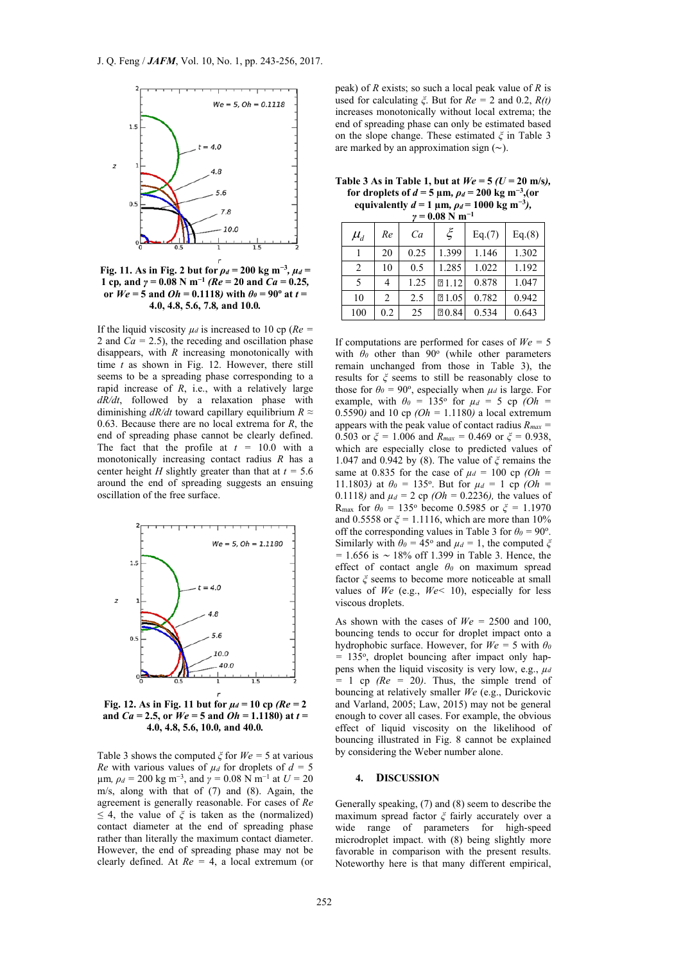

**Fig. 11.** As in Fig. 2 but for  $\rho_d = 200$  kg m<sup>-3</sup>,  $\mu_d =$ **1 cp***,* **and**  $\gamma = 0.08 \text{ N m}^{-1}$  ( $Re = 20$  and  $Ca = 0.25$ *,* **or**  $We = 5$  **and**  $Oh = 0.1118$ *)* with  $\theta_{\theta} = 90^{\circ}$  at  $t =$ **4.0, 4.8, 5.6, 7.8***,* **and 10.0***.* 

If the liquid viscosity  $\mu_d$  is increased to 10 cp ( $Re =$ 2 and  $Ca = 2.5$ ), the receding and oscillation phase disappears, with *R* increasing monotonically with time  $t$  as shown in Fig. 12. However, there still seems to be a spreading phase corresponding to a rapid increase of *R*, i.e., with a relatively large *dR/dt*, followed by a relaxation phase with diminishing *dR/dt* toward capillary equilibrium *R ≈* 0.63. Because there are no local extrema for *R*, the end of spreading phase cannot be clearly defined. The fact that the profile at  $t = 10.0$  with a monotonically increasing contact radius *R* has a center height *H* slightly greater than that at  $t = 5.6$ around the end of spreading suggests an ensuing oscillation of the free surface.



**Fig. 12.** As in Fig. 11 but for  $\mu_d = 10$  cp ( $Re = 2$ **and** *Ca =* **2.5, or** *We =* **5 and** *Oh =* **1.1180) at** *t =*  **4.0, 4.8, 5.6, 10.0***,* **and 40.0***.* 

Table 3 shows the computed *ξ* for *We =* 5 at various *Re* with various values of  $\mu_d$  for droplets of  $d = 5$  $μm$ *,*  $ρ<sub>d</sub> = 200$  kg m<sup>-3</sup>, and  $γ = 0.08$  N m<sup>-1</sup> at  $U = 20$ m/s, along with that of (7) and (8). Again, the agreement is generally reasonable. For cases of *Re ≤* 4, the value of *ξ* is taken as the (normalized) contact diameter at the end of spreading phase rather than literally the maximum contact diameter. However, the end of spreading phase may not be clearly defined. At *Re =* 4, a local extremum (or

peak) of *R* exists; so such a local peak value of *R* is used for calculating *ξ*. But for *Re =* 2 and 0.2, *R(t)* increases monotonically without local extrema; the end of spreading phase can only be estimated based on the slope change. These estimated *ξ* in Table 3 are marked by an approximation sign (∼).

Table 3 As in Table 1, but at  $We = 5 (U = 20 \text{ m/s})$ . **for droplets of**  $d = 5 \text{ µm}$ ,  $\rho_d = 200 \text{ kg m}^{-3}$ , (or **equivalently**  $d = 1 \mu m$ ,  $\rho_d = 1000 \text{ kg m}^{-3}$ ),

| $\gamma = 0.08$ N m <sup>-1</sup> |     |      |       |        |        |  |  |
|-----------------------------------|-----|------|-------|--------|--------|--|--|
| $\mu_{\scriptscriptstyle d}$      | Re  | Ca   | ξ     | Eq.(7) | Eq.(8) |  |  |
|                                   | 20  | 0.25 | 1.399 | 1.146  | 1.302  |  |  |
| 2                                 | 10  | 0.5  | 1.285 | 1.022  | 1.192  |  |  |
| 5                                 |     | 1.25 | 21.12 | 0.878  | 1.047  |  |  |
| 10                                | 2   | 2.5  | 21.05 | 0.782  | 0.942  |  |  |
| 100                               | 0.2 | 25   | 20.84 | 0.534  | 0.643  |  |  |

If computations are performed for cases of *We =* 5 with  $\theta$ <sup>0</sup> other than 90<sup>o</sup> (while other parameters remain unchanged from those in Table 3), the results for *ξ* seems to still be reasonably close to those for  $\theta_0 = 90^\circ$ , especially when  $\mu_d$  is large. For example, with  $\theta_0 = 135^\circ$  for  $\mu_d = 5$  cp  $(Oh =$ 0.5590*)* and 10 cp *(Oh =* 1.1180*)* a local extremum appears with the peak value of contact radius *Rmax =*  0.503 or  $\xi$  = 1.006 and  $R_{max}$  = 0.469 or  $\xi$  = 0.938, which are especially close to predicted values of 1.047 and 0.942 by (8). The value of *ξ* remains the same at 0.835 for the case of  $\mu_d = 100$  cp  $(Oh =$ 11.1803) at  $\theta_0 = 135^{\circ}$ . But for  $\mu_d = 1$  cp *(Oh =* 0.1118*)* and  $\mu_d = 2$  cp *(Oh =* 0.2236*)*, the values of Rmax for *θ0 =* 135o become 0.5985 or *ξ =* 1.1970 and 0.5558 or *ξ =* 1.1116, which are more than 10% off the corresponding values in Table 3 for  $\theta_0 = 90^\circ$ . Similarly with  $\theta_0 = 45^\circ$  and  $\mu_d = 1$ , the computed  $\zeta$ *=* 1.656 is <sup>∼</sup> 18% off 1.399 in Table 3. Hence, the effect of contact angle *θ0* on maximum spread factor *ξ* seems to become more noticeable at small values of *We* (e.g., *We<* 10), especially for less viscous droplets.

As shown with the cases of  $W_e = 2500$  and 100, bouncing tends to occur for droplet impact onto a hydrophobic surface. However, for  $We = 5$  with  $\theta_0$ *=* 135o, droplet bouncing after impact only happens when the liquid viscosity is very low, e.g.,  $\mu_d$  $= 1$  cp  $(Re = 20)$ . Thus, the simple trend of bouncing at relatively smaller *We* (e.g., Durickovic and Varland, 2005; Law, 2015) may not be general enough to cover all cases. For example, the obvious effect of liquid viscosity on the likelihood of bouncing illustrated in Fig. 8 cannot be explained by considering the Weber number alone.

#### **4. DISCUSSION**

Generally speaking, (7) and (8) seem to describe the maximum spread factor *ξ* fairly accurately over a wide range of parameters for high-speed microdroplet impact. with (8) being slightly more favorable in comparison with the present results. Noteworthy here is that many different empirical,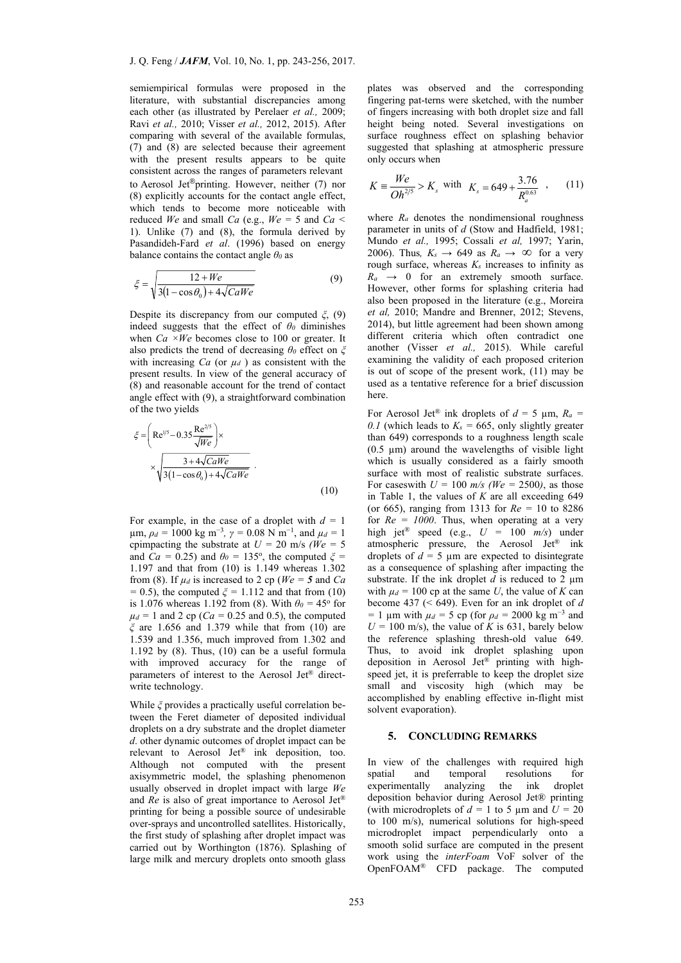semiempirical formulas were proposed in the literature, with substantial discrepancies among each other (as illustrated by Perelaer *et al.,* 2009; Ravi *et al.,* 2010; Visser *et al.,* 2012, 2015). After comparing with several of the available formulas, (7) and (8) are selected because their agreement with the present results appears to be quite consistent across the ranges of parameters relevant to Aerosol Jet®printing. However, neither (7) nor (8) explicitly accounts for the contact angle effect, which tends to become more noticeable with reduced *We* and small *Ca* (e.g.,  $We = 5$  and  $Ca <$ 1). Unlike (7) and (8), the formula derived by Pasandideh-Fard *et al*. (1996) based on energy balance contains the contact angle *θ0* as

$$
\xi = \sqrt{\frac{12 + We}{3(1 - \cos\theta_0) + 4\sqrt{CaWe}}}
$$
(9)

Despite its discrepancy from our computed *ξ*, (9) indeed suggests that the effect of  $\theta$ <sup>0</sup> diminishes when *Ca* ×*We* becomes close to 100 or greater. It also predicts the trend of decreasing *θ0* effect on *ξ* with increasing  $Ca$  (or  $\mu_d$ ) as consistent with the present results. In view of the general accuracy of (8) and reasonable account for the trend of contact angle effect with (9), a straightforward combination of the two yields

$$
\zeta = \left( \text{Re}^{1/5} - 0.35 \frac{\text{Re}^{2/5}}{\sqrt{We}} \right) \times \frac{3 + 4\sqrt{CaWe}}{3(1 - \cos \theta_0) + 4\sqrt{CaWe}} \tag{10}
$$

and *Ca* = 0.25) and  $\theta_0 = 135^\circ$ , the computed  $\zeta =$ For example, in the case of a droplet with  $d = 1$  $\mu$ m,  $\rho_d = 1000 \text{ kg m}^{-3}$ ,  $\gamma = 0.08 \text{ N m}^{-1}$ , and  $\mu_d = 1$ cpimpacting the substrate at  $U = 20$  m/s *(We = 5*) 1.197 and that from (10) is 1.149 whereas 1.302 from (8). If  $\mu_d$  is increased to 2 cp ( $We = 5$  and *Ca =* 0.5), the computed *ξ =* 1.112 and that from (10) is 1.076 whereas 1.192 from (8). With  $\theta_0 = 45^\circ$  for  $\mu_d = 1$  and 2 cp (*Ca* = 0.25 and 0.5), the computed *ξ* are 1.656 and 1.379 while that from (10) are 1.539 and 1.356, much improved from 1.302 and 1.192 by (8). Thus, (10) can be a useful formula with improved accuracy for the range of parameters of interest to the Aerosol Jet® directwrite technology.

While *ξ* provides a practically useful correlation between the Feret diameter of deposited individual droplets on a dry substrate and the droplet diameter *d*. other dynamic outcomes of droplet impact can be relevant to Aerosol Jet® ink deposition, too. Although not computed with the present axisymmetric model, the splashing phenomenon usually observed in droplet impact with large *We* and *Re* is also of great importance to Aerosol Jet® printing for being a possible source of undesirable over-sprays and uncontrolled satellites. Historically, the first study of splashing after droplet impact was carried out by Worthington (1876). Splashing of large milk and mercury droplets onto smooth glass

plates was observed and the corresponding fingering pat-terns were sketched, with the number of fingers increasing with both droplet size and fall height being noted. Several investigations on surface roughness effect on splashing behavior suggested that splashing at atmospheric pressure only occurs when

$$
K = \frac{We}{Oh^{2/5}} > K_s \text{ with } K_s = 649 + \frac{3.76}{R_a^{0.63}} \tag{11}
$$

 where *Ra* denotes the nondimensional roughness parameter in units of *d* (Stow and Hadfield, 1981; Mundo *et al.,* 1995; Cossali *et al,* 1997; Yarin, 2006). Thus,  $K_s \rightarrow 649$  as  $R_a \rightarrow \infty$  for a very rough surface, whereas  $K_s$  increases to infinity as  $R_a \rightarrow 0$  for an extremely smooth surface. However, other forms for splashing criteria had also been proposed in the literature (e.g., Moreira *et al,* 2010; Mandre and Brenner, 2012; Stevens, 2014), but little agreement had been shown among different criteria which often contradict one another (Visser *et al.,* 2015). While careful examining the validity of each proposed criterion is out of scope of the present work, (11) may be used as a tentative reference for a brief discussion here.

For Aerosol Jet<sup>®</sup> ink droplets of  $d = 5 \mu m$ ,  $R_a =$ 0.1 (which leads to  $K_s = 665$ , only slightly greater than 649) corresponds to a roughness length scale  $(0.5 \mu m)$  around the wavelengths of visible light which is usually considered as a fairly smooth surface with most of realistic substrate surfaces. For caseswith  $U = 100$  m/s (We = 2500), as those in Table 1, the values of  $K$  are all exceeding 649 (or 665), ranging from 1313 for *Re =* 10 to 8286 for  $Re = 1000$ . Thus, when operating at a very high jet® speed (e.g., *U =* 100 *m/s*) under atmospheric pressure, the Aerosol Jet® ink droplets of  $d = 5 \mu m$  are expected to disintegrate as a consequence of splashing after impacting the substrate. If the ink droplet  $d$  is reduced to 2  $\mu$ m with  $\mu_d = 100$  cp at the same *U*, the value of *K* can become 437 (< 649). Even for an ink droplet of *d =* 1 µm with *µd =* 5 cp (for *ρd =* 2000 kg m<sup>−</sup><sup>3</sup> and  $U = 100$  m/s), the value of *K* is 631, barely below the reference splashing thresh-old value 649. Thus, to avoid ink droplet splashing upon deposition in Aerosol Jet® printing with highspeed jet, it is preferrable to keep the droplet size small and viscosity high (which may be accomplished by enabling effective in-flight mist solvent evaporation).

#### **5. CONCLUDING REMARKS**

In view of the challenges with required high spatial and temporal resolutions for experimentally analyzing the ink droplet deposition behavior during Aerosol Jet® printing (with microdroplets of  $d = 1$  to 5  $\mu$ m and  $U = 20$ to 100 m/s), numerical solutions for high-speed microdroplet impact perpendicularly onto a smooth solid surface are computed in the present work using the *interFoam* VoF solver of the OpenFOAM® CFD package. The computed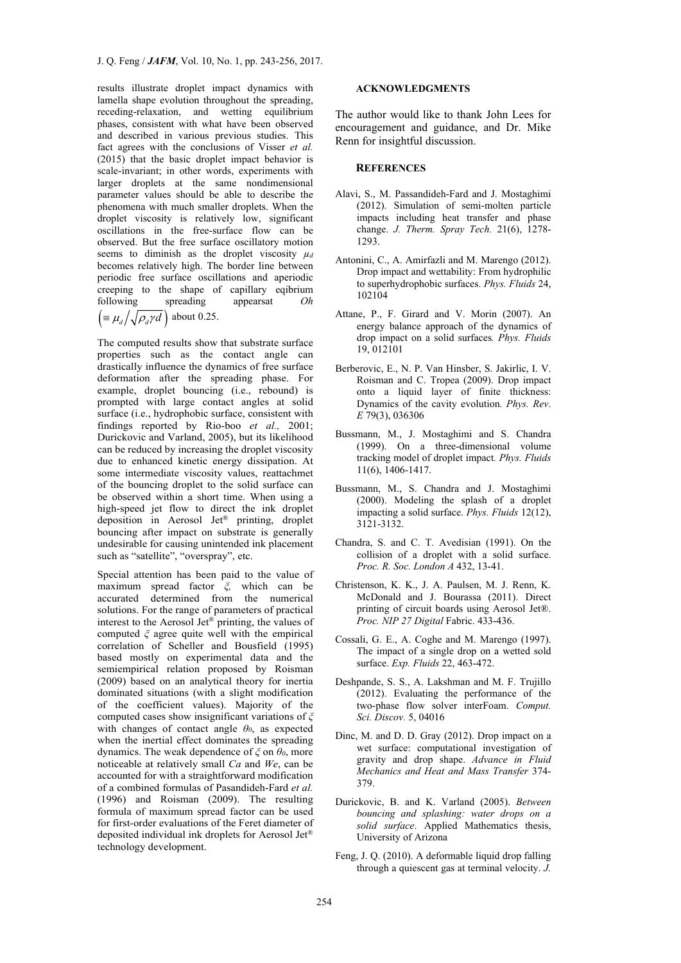results illustrate droplet impact dynamics with lamella shape evolution throughout the spreading, receding-relaxation, and wetting equilibrium phases, consistent with what have been observed and described in various previous studies. This fact agrees with the conclusions of Visser *et al.* (2015) that the basic droplet impact behavior is scale-invariant; in other words, experiments with larger droplets at the same nondimensional parameter values should be able to describe the phenomena with much smaller droplets. When the droplet viscosity is relatively low, significant oscillations in the free-surface flow can be observed. But the free surface oscillatory motion seems to diminish as the droplet viscosity  $\mu_d$ becomes relatively high. The border line between periodic free surface oscillations and aperiodic creeping to the shape of capillary eqibrium following spreading appearsat *Oh*   $\left(\equiv \mu_d / \sqrt{\rho_a \gamma d}\right)$  about 0.25.

The computed results show that substrate surface properties such as the contact angle can drastically influence the dynamics of free surface deformation after the spreading phase. For example, droplet bouncing (i.e., rebound) is prompted with large contact angles at solid surface (i.e., hydrophobic surface, consistent with findings reported by Rio-boo *et al.,* 2001; Durickovic and Varland, 2005), but its likelihood can be reduced by increasing the droplet viscosity due to enhanced kinetic energy dissipation. At some intermediate viscosity values, reattachmet of the bouncing droplet to the solid surface can be observed within a short time. When using a high-speed jet flow to direct the ink droplet deposition in Aerosol Jet® printing, droplet bouncing after impact on substrate is generally undesirable for causing unintended ink placement such as "satellite", "overspray", etc.

Special attention has been paid to the value of maximum spread factor *ξ,* which can be accurated determined from the numerical solutions. For the range of parameters of practical interest to the Aerosol Jet® printing, the values of computed *ξ* agree quite well with the empirical correlation of Scheller and Bousfield (1995) based mostly on experimental data and the semiempirical relation proposed by Roisman (2009) based on an analytical theory for inertia dominated situations (with a slight modification of the coefficient values). Majority of the computed cases show insignificant variations of *ξ* with changes of contact angle *θ0*, as expected when the inertial effect dominates the spreading dynamics. The weak dependence of *ξ* on *θ0*, more noticeable at relatively small *Ca* and *We*, can be accounted for with a straightforward modification of a combined formulas of Pasandideh-Fard *et al.* (1996) and Roisman (2009). The resulting formula of maximum spread factor can be used for first-order evaluations of the Feret diameter of deposited individual ink droplets for Aerosol Jet® technology development.

### **ACKNOWLEDGMENTS**

The author would like to thank John Lees for encouragement and guidance, and Dr. Mike Renn for insightful discussion.

# **REFERENCES**

- Alavi, S., M. Passandideh-Fard and J. Mostaghimi (2012). Simulation of semi-molten particle impacts including heat transfer and phase change. *J. Therm. Spray Tech.* 21(6), 1278- 1293.
- Antonini, C., A. Amirfazli and M. Marengo (2012). Drop impact and wettability: From hydrophilic to superhydrophobic surfaces. *Phys. Fluids* 24, 102104
- Attane, P., F. Girard and V. Morin (2007). An energy balance approach of the dynamics of drop impact on a solid surfaces*. Phys. Fluids* 19, 012101
- Berberovic, E., N. P. Van Hinsber, S. Jakirlic, I. V. Roisman and C. Tropea (2009). Drop impact onto a liquid layer of finite thickness: Dynamics of the cavity evolution*. Phys. Rev*. *E* 79(3), 036306
- Bussmann, M., J. Mostaghimi and S. Chandra (1999). On a three-dimensional volume tracking model of droplet impact*. Phys. Fluids* 11(6), 1406-1417.
- Bussmann, M., S. Chandra and J. Mostaghimi (2000). Modeling the splash of a droplet impacting a solid surface. *Phys. Fluids* 12(12), 3121-3132.
- Chandra, S. and C. T. Avedisian (1991). On the collision of a droplet with a solid surface. *Proc. R. Soc. London A* 432, 13-41.
- Christenson, K. K., J. A. Paulsen, M. J. Renn, K. McDonald and J. Bourassa (2011). Direct printing of circuit boards using Aerosol Jet®. *Proc. NIP 27 Digital* Fabric. 433-436.
- Cossali, G. E., A. Coghe and M. Marengo (1997). The impact of a single drop on a wetted sold surface. *Exp. Fluids* 22, 463-472.
- Deshpande, S. S., A. Lakshman and M. F. Trujillo (2012). Evaluating the performance of the two-phase flow solver interFoam. *Comput. Sci. Discov.* 5, 04016
- Dinc, M. and D. D. Gray (2012). Drop impact on a wet surface: computational investigation of gravity and drop shape. *Advance in Fluid Mechanics and Heat and Mass Transfer* 374- 379.
- Durickovic, B. and K. Varland (2005). *Between bouncing and splashing: water drops on a solid surface*. Applied Mathematics thesis, University of Arizona
- Feng, J. Q. (2010). A deformable liquid drop falling through a quiescent gas at terminal velocity. *J.*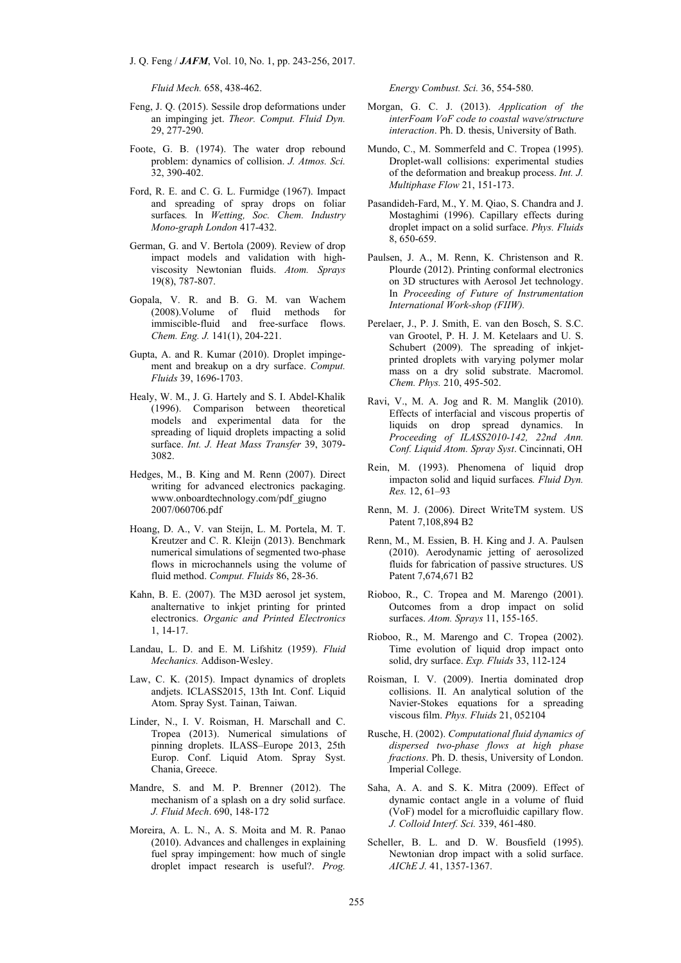*Fluid Mech.* 658, 438-462.

- Feng, J. Q. (2015). Sessile drop deformations under an impinging jet. *Theor. Comput. Fluid Dyn.* 29, 277-290.
- Foote, G. B. (1974). The water drop rebound problem: dynamics of collision. *J. Atmos. Sci.* 32, 390-402.
- Ford, R. E. and C. G. L. Furmidge (1967). Impact and spreading of spray drops on foliar surfaces*.* In *Wetting, Soc. Chem. Industry Mono-graph London* 417-432.
- German, G. and V. Bertola (2009). Review of drop impact models and validation with highviscosity Newtonian fluids. *Atom. Sprays* 19(8), 787-807.
- Gopala, V. R. and B. G. M. van Wachem (2008).Volume of fluid methods for immiscible-fluid and free-surface flows. *Chem. Eng. J.* 141(1), 204-221.
- Gupta, A. and R. Kumar (2010). Droplet impingement and breakup on a dry surface. *Comput. Fluids* 39, 1696-1703.
- Healy, W. M., J. G. Hartely and S. I. Abdel-Khalik (1996). Comparison between theoretical models and experimental data for the spreading of liquid droplets impacting a solid surface. *Int. J. Heat Mass Transfer* 39, 3079- 3082.
- Hedges, M., B. King and M. Renn (2007). Direct writing for advanced electronics packaging. www.onboardtechnology.com/pdf\_giugno 2007/060706.pdf
- Hoang, D. A., V. van Steijn, L. M. Portela, M. T. Kreutzer and C. R. Kleijn (2013). Benchmark numerical simulations of segmented two-phase flows in microchannels using the volume of fluid method. *Comput. Fluids* 86, 28-36.
- Kahn, B. E. (2007). The M3D aerosol jet system, analternative to inkjet printing for printed electronics. *Organic and Printed Electronics* 1, 14-17.
- Landau, L. D. and E. M. Lifshitz (1959). *Fluid Mechanics.* Addison-Wesley.
- Law, C. K. (2015). Impact dynamics of droplets andjets. ICLASS2015, 13th Int. Conf. Liquid Atom. Spray Syst. Tainan, Taiwan.
- Linder, N., I. V. Roisman, H. Marschall and C. Tropea (2013). Numerical simulations of pinning droplets. ILASS–Europe 2013, 25th Europ. Conf. Liquid Atom. Spray Syst. Chania, Greece.
- Mandre, S. and M. P. Brenner (2012). The mechanism of a splash on a dry solid surface. *J. Fluid Mech*. 690, 148-172
- Moreira, A. L. N., A. S. Moita and M. R. Panao (2010). Advances and challenges in explaining fuel spray impingement: how much of single droplet impact research is useful?. *Prog.*

*Energy Combust. Sci.* 36, 554-580.

- Morgan, G. C. J. (2013). *Application of the interFoam VoF code to coastal wave/structure interaction*. Ph. D. thesis, University of Bath.
- Mundo, C., M. Sommerfeld and C. Tropea (1995). Droplet-wall collisions: experimental studies of the deformation and breakup process. *Int. J. Multiphase Flow* 21, 151-173.
- Pasandideh-Fard, M., Y. M. Qiao, S. Chandra and J. Mostaghimi (1996). Capillary effects during droplet impact on a solid surface. *Phys. Fluids* 8, 650-659.
- Paulsen, J. A., M. Renn, K. Christenson and R. Plourde (2012). Printing conformal electronics on 3D structures with Aerosol Jet technology. In *Proceeding of Future of Instrumentation International Work-shop (FIIW).*
- Perelaer, J., P. J. Smith, E. van den Bosch, S. S.C. van Grootel, P. H. J. M. Ketelaars and U. S. Schubert (2009). The spreading of inkjetprinted droplets with varying polymer molar mass on a dry solid substrate. Macromol. *Chem. Phys.* 210, 495-502.
- Ravi, V., M. A. Jog and R. M. Manglik (2010). Effects of interfacial and viscous propertis of liquids on drop spread dynamics. In *Proceeding of ILASS2010-142, 22nd Ann. Conf. Liquid Atom. Spray Syst*. Cincinnati, OH
- Rein, M. (1993). Phenomena of liquid drop impacton solid and liquid surfaces*. Fluid Dyn. Res.* 12, 61–93
- Renn, M. J. (2006). Direct WriteTM system. US Patent 7,108,894 B2
- Renn, M., M. Essien, B. H. King and J. A. Paulsen (2010). Aerodynamic jetting of aerosolized fluids for fabrication of passive structures. US Patent 7,674,671 B2
- Rioboo, R., C. Tropea and M. Marengo (2001). Outcomes from a drop impact on solid surfaces. *Atom. Sprays* 11, 155-165.
- Rioboo, R., M. Marengo and C. Tropea (2002). Time evolution of liquid drop impact onto solid, dry surface. *Exp. Fluids* 33, 112-124
- Roisman, I. V. (2009). Inertia dominated drop collisions. II. An analytical solution of the Navier-Stokes equations for a spreading viscous film. *Phys. Fluids* 21, 052104
- Rusche, H. (2002). *Computational fluid dynamics of dispersed two-phase flows at high phase fractions*. Ph. D. thesis, University of London. Imperial College.
- Saha, A. A. and S. K. Mitra (2009). Effect of dynamic contact angle in a volume of fluid (VoF) model for a microfluidic capillary flow. *J. Colloid Interf. Sci.* 339, 461-480.
- Scheller, B. L. and D. W. Bousfield (1995). Newtonian drop impact with a solid surface. *AIChE J.* 41, 1357-1367.